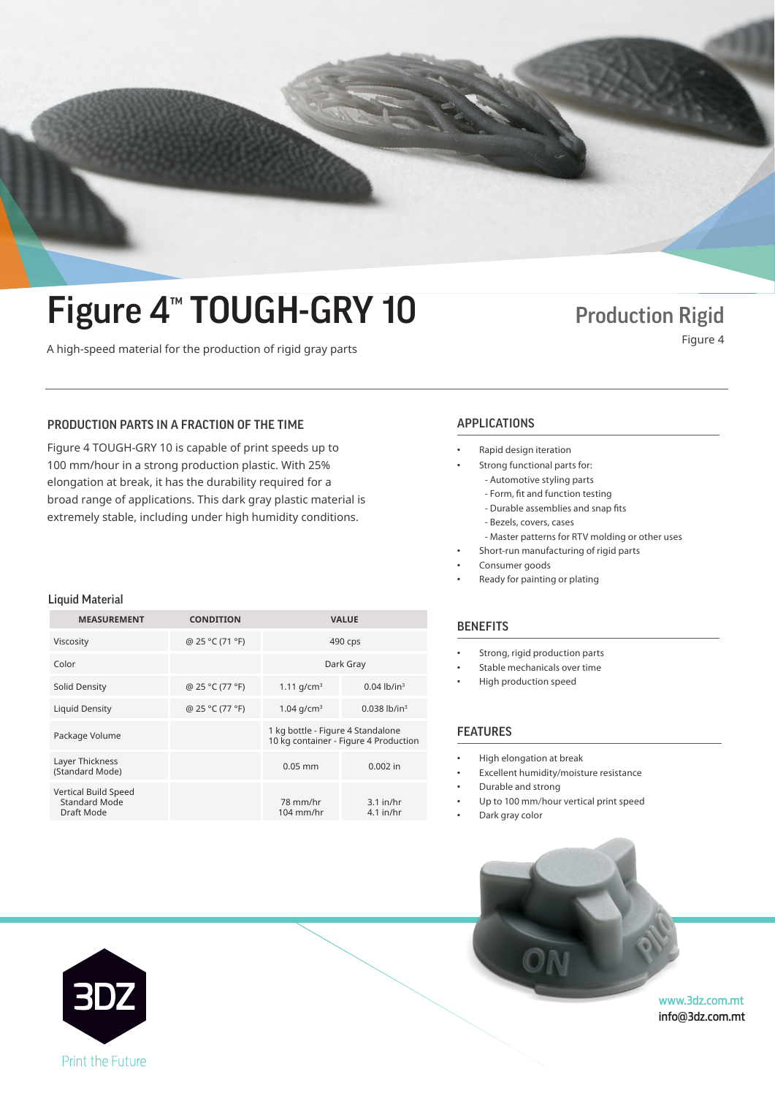## Tourdection Rigid<br>
A high-speed material for the production of rigid gray parts Figure 4 Figure 4<sup>™</sup> TOUGH-GRY 10 Production Rigid

### PRODUCTION PARTS IN A FRACTION OF THE TIME **APPLICATIONS**

Production Production Production plastic. With 25% Production Production Production Production Production Production Production Production Production Production Production Production Production Production Production Produc elongation at break, it has the durability required for a broad range of applications. This dark gray plastic material is extremely stable, including under high humidity conditions. Figure 4 TOUGH-GRY 10 is capable of print speeds up to Figure 4 TOUGH-GRY 10 is capable of print speeds up to

#### Liquid Material Liquid Material

| @ 25 °C (71 °F)<br>Viscosity<br>490 cps<br>Color<br>Dark Gray                                                       |                                       |  |  |
|---------------------------------------------------------------------------------------------------------------------|---------------------------------------|--|--|
|                                                                                                                     |                                       |  |  |
|                                                                                                                     |                                       |  |  |
| $0.04$ lb/in <sup>3</sup><br>@ 25 °C (77 °F)<br>1.11 $q/cm^3$<br>Solid Density                                      |                                       |  |  |
| 1.04 $q/cm^3$<br>$0.038$ lb/in <sup>3</sup><br>@ 25 °C (77 °F)<br>Liquid Density                                    |                                       |  |  |
| 1 kg bottle - Figure 4 Standalone<br>Package Volume                                                                 | 10 kg container - Figure 4 Production |  |  |
| Layer Thickness<br>$0.05$ mm<br>$0.002$ in<br>(Standard Mode)                                                       |                                       |  |  |
| Vertical Build Speed<br><b>Standard Mode</b><br>78 mm/hr<br>$3.1$ in/hr<br>Draft Mode<br>$104$ mm/hr<br>$4.1$ in/hr |                                       |  |  |

- Rapid design iteration Rapid design iteration
- Strong functional parts for: Strong functional parts for:
	- Automotive styling parts Automotive styling parts
	- Rapid design iteration Form, fit and function testing Form, fit and function testing
	- Strong functional parts for: Durable assemblies and snap fits Durable assemblies and snap fits
	- Automotive styling parts Bezels, covers, cases Bezels, covers, cases
	- Master patterns for RTV molding or other uses
- Short-run manufacturing of rigid parts
- Consumer goods
- Ready for painting or plating

#### **BENEFITS**

- Strong, rigid production parts Strong, rigid production parts
- Stable mechanicals over time
- High production speed High production speed

#### **FEATURES**

- High elongation at break High elongation at break
- Excellent humidity/moisture resistance Excellent humidity/moisture resistance
- FEATURES Durable and strong Durable and strong
- Up to 100 mm/hour vertical print speed Up to 100 mm/hour vertical print speed

• Up to 100 mm/hour vertical print speed

**www.3dsystems.com**

www.3dsystems.com

**www.3dsystems.com** 

• Dark gray color  $\mathcal{L}$  excellent humidity  $\mathcal{L}$ 

• Dark gray color



www.3dz.com.mt info@3dz.com.mt